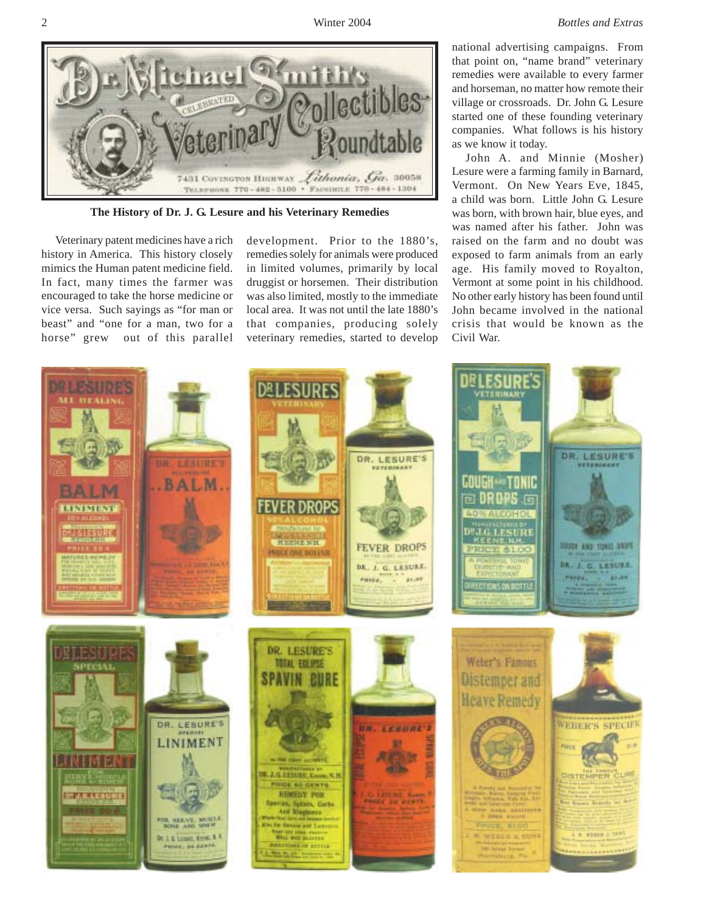

**The History of Dr. J. G. Lesure and his Veterinary Remedies**

Veterinary patent medicines have a rich history in America. This history closely mimics the Human patent medicine field. In fact, many times the farmer was encouraged to take the horse medicine or vice versa. Such sayings as "for man or beast" and "one for a man, two for a horse" grew out of this parallel

development. Prior to the 1880's, remedies solely for animals were produced in limited volumes, primarily by local druggist or horsemen. Their distribution was also limited, mostly to the immediate local area. It was not until the late 1880's that companies, producing solely veterinary remedies, started to develop national advertising campaigns. From that point on, "name brand" veterinary remedies were available to every farmer and horseman, no matter how remote their village or crossroads. Dr. John G. Lesure started one of these founding veterinary companies. What follows is his history as we know it today.

John A. and Minnie (Mosher) Lesure were a farming family in Barnard, Vermont. On New Years Eve, 1845, a child was born. Little John G. Lesure was born, with brown hair, blue eyes, and was named after his father. John was raised on the farm and no doubt was exposed to farm animals from an early age. His family moved to Royalton, Vermont at some point in his childhood. No other early history has been found until John became involved in the national crisis that would be known as the Civil War.

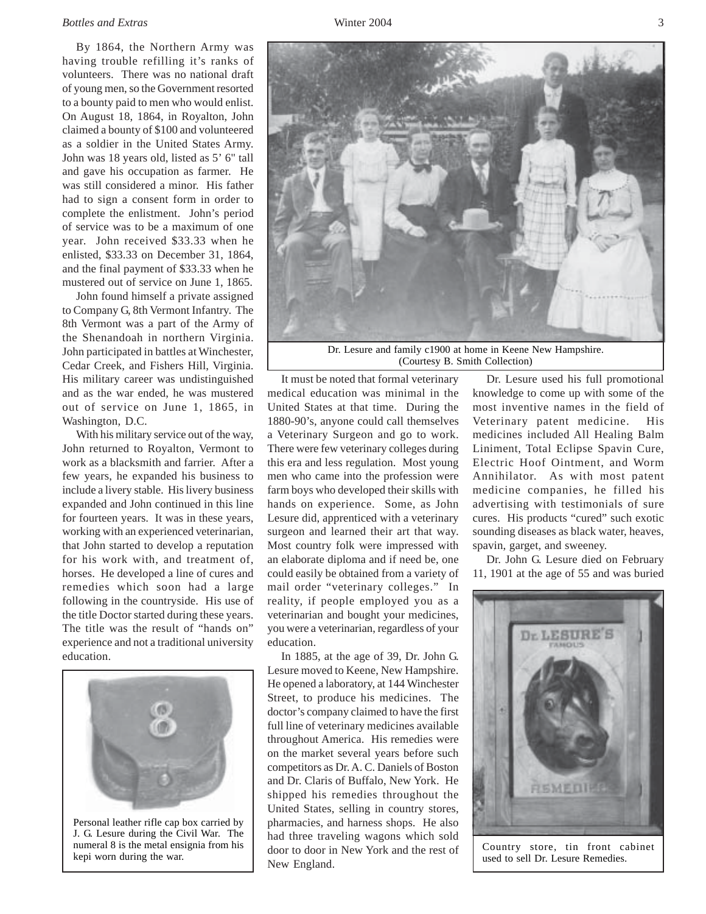## *Bottles and Extras* 3

By 1864, the Northern Army was having trouble refilling it's ranks of volunteers. There was no national draft of young men, so the Government resorted to a bounty paid to men who would enlist. On August 18, 1864, in Royalton, John claimed a bounty of \$100 and volunteered as a soldier in the United States Army. John was 18 years old, listed as 5' 6" tall and gave his occupation as farmer. He was still considered a minor. His father had to sign a consent form in order to complete the enlistment. John's period of service was to be a maximum of one year. John received \$33.33 when he enlisted, \$33.33 on December 31, 1864, and the final payment of \$33.33 when he mustered out of service on June 1, 1865.

John found himself a private assigned to Company G, 8th Vermont Infantry. The 8th Vermont was a part of the Army of the Shenandoah in northern Virginia. John participated in battles at Winchester, Cedar Creek, and Fishers Hill, Virginia. His military career was undistinguished and as the war ended, he was mustered out of service on June 1, 1865, in Washington, D.C.

With his military service out of the way, John returned to Royalton, Vermont to work as a blacksmith and farrier. After a few years, he expanded his business to include a livery stable. His livery business expanded and John continued in this line for fourteen years. It was in these years, working with an experienced veterinarian, that John started to develop a reputation for his work with, and treatment of, horses. He developed a line of cures and remedies which soon had a large following in the countryside. His use of the title Doctor started during these years. The title was the result of "hands on" experience and not a traditional university education.



Personal leather rifle cap box carried by J. G. Lesure during the Civil War. The numeral 8 is the metal ensignia from his kepi worn during the war.



It must be noted that formal veterinary medical education was minimal in the United States at that time. During the 1880-90's, anyone could call themselves a Veterinary Surgeon and go to work. There were few veterinary colleges during this era and less regulation. Most young men who came into the profession were farm boys who developed their skills with hands on experience. Some, as John Lesure did, apprenticed with a veterinary surgeon and learned their art that way. Most country folk were impressed with an elaborate diploma and if need be, one could easily be obtained from a variety of mail order "veterinary colleges." In reality, if people employed you as a veterinarian and bought your medicines, you were a veterinarian, regardless of your education.

In 1885, at the age of 39, Dr. John G. Lesure moved to Keene, New Hampshire. He opened a laboratory, at 144 Winchester Street, to produce his medicines. The doctor's company claimed to have the first full line of veterinary medicines available throughout America. His remedies were on the market several years before such competitors as Dr. A. C. Daniels of Boston and Dr. Claris of Buffalo, New York. He shipped his remedies throughout the United States, selling in country stores, pharmacies, and harness shops. He also had three traveling wagons which sold door to door in New York and the rest of New England.

Dr. Lesure used his full promotional knowledge to come up with some of the most inventive names in the field of Veterinary patent medicine. His medicines included All Healing Balm Liniment, Total Eclipse Spavin Cure, Electric Hoof Ointment, and Worm Annihilator. As with most patent medicine companies, he filled his advertising with testimonials of sure cures. His products "cured" such exotic sounding diseases as black water, heaves, spavin, garget, and sweeney.

Dr. John G. Lesure died on February 11, 1901 at the age of 55 and was buried



Country store, tin front cabinet used to sell Dr. Lesure Remedies.